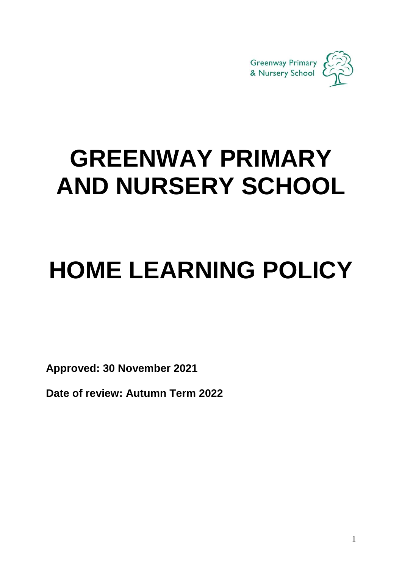

## **GREENWAY PRIMARY AND NURSERY SCHOOL**

# **HOME LEARNING POLICY**

**Approved: 30 November 2021**

**Date of review: Autumn Term 2022**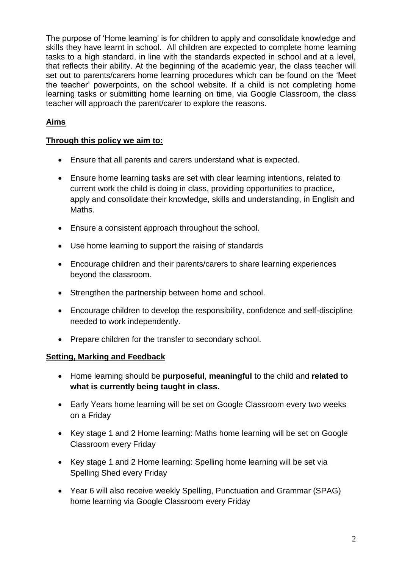The purpose of 'Home learning' is for children to apply and consolidate knowledge and skills they have learnt in school. All children are expected to complete home learning tasks to a high standard, in line with the standards expected in school and at a level, that reflects their ability. At the beginning of the academic year, the class teacher will set out to parents/carers home learning procedures which can be found on the 'Meet the teacher' powerpoints, on the school website. If a child is not completing home learning tasks or submitting home learning on time, via Google Classroom, the class teacher will approach the parent/carer to explore the reasons.

### **Aims**

#### **Through this policy we aim to:**

- Ensure that all parents and carers understand what is expected.
- Ensure home learning tasks are set with clear learning intentions, related to current work the child is doing in class, providing opportunities to practice, apply and consolidate their knowledge, skills and understanding, in English and Maths.
- Ensure a consistent approach throughout the school.
- Use home learning to support the raising of standards
- Encourage children and their parents/carers to share learning experiences beyond the classroom.
- Strengthen the partnership between home and school.
- Encourage children to develop the responsibility, confidence and self-discipline needed to work independently.
- Prepare children for the transfer to secondary school.

#### **Setting, Marking and Feedback**

- Home learning should be **purposeful**, **meaningful** to the child and **related to what is currently being taught in class.**
- Early Years home learning will be set on Google Classroom every two weeks on a Friday
- Key stage 1 and 2 Home learning: Maths home learning will be set on Google Classroom every Friday
- Key stage 1 and 2 Home learning: Spelling home learning will be set via Spelling Shed every Friday
- Year 6 will also receive weekly Spelling, Punctuation and Grammar (SPAG) home learning via Google Classroom every Friday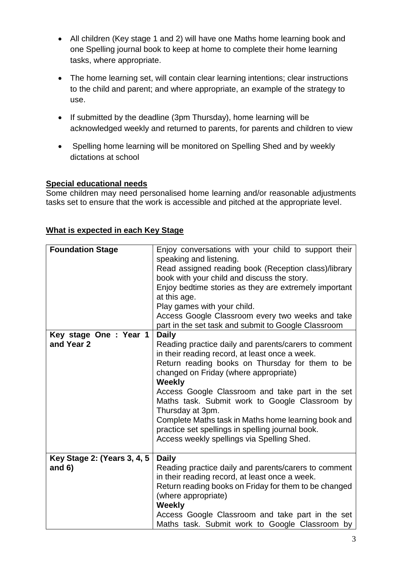- All children (Key stage 1 and 2) will have one Maths home learning book and one Spelling journal book to keep at home to complete their home learning tasks, where appropriate.
- The home learning set, will contain clear learning intentions; clear instructions to the child and parent; and where appropriate, an example of the strategy to use.
- If submitted by the deadline (3pm Thursday), home learning will be acknowledged weekly and returned to parents, for parents and children to view
- Spelling home learning will be monitored on Spelling Shed and by weekly dictations at school

#### **Special educational needs**

Some children may need personalised home learning and/or reasonable adjustments tasks set to ensure that the work is accessible and pitched at the appropriate level.

| <b>Foundation Stage</b>      | Enjoy conversations with your child to support their<br>speaking and listening.<br>Read assigned reading book (Reception class)/library<br>book with your child and discuss the story.<br>Enjoy bedtime stories as they are extremely important<br>at this age.<br>Play games with your child.<br>Access Google Classroom every two weeks and take<br>part in the set task and submit to Google Classroom                                                                                              |
|------------------------------|--------------------------------------------------------------------------------------------------------------------------------------------------------------------------------------------------------------------------------------------------------------------------------------------------------------------------------------------------------------------------------------------------------------------------------------------------------------------------------------------------------|
| Key stage One: Year 1        | <b>Daily</b>                                                                                                                                                                                                                                                                                                                                                                                                                                                                                           |
| and Year 2                   | Reading practice daily and parents/carers to comment<br>in their reading record, at least once a week.<br>Return reading books on Thursday for them to be<br>changed on Friday (where appropriate)<br><b>Weekly</b><br>Access Google Classroom and take part in the set<br>Maths task. Submit work to Google Classroom by<br>Thursday at 3pm.<br>Complete Maths task in Maths home learning book and<br>practice set spellings in spelling journal book.<br>Access weekly spellings via Spelling Shed. |
| Key Stage 2: (Years 3, 4, 5) | <b>Daily</b>                                                                                                                                                                                                                                                                                                                                                                                                                                                                                           |
| and $6)$                     | Reading practice daily and parents/carers to comment<br>in their reading record, at least once a week.<br>Return reading books on Friday for them to be changed<br>(where appropriate)<br><b>Weekly</b><br>Access Google Classroom and take part in the set<br>Maths task. Submit work to Google Classroom by                                                                                                                                                                                          |

#### **What is expected in each Key Stage**